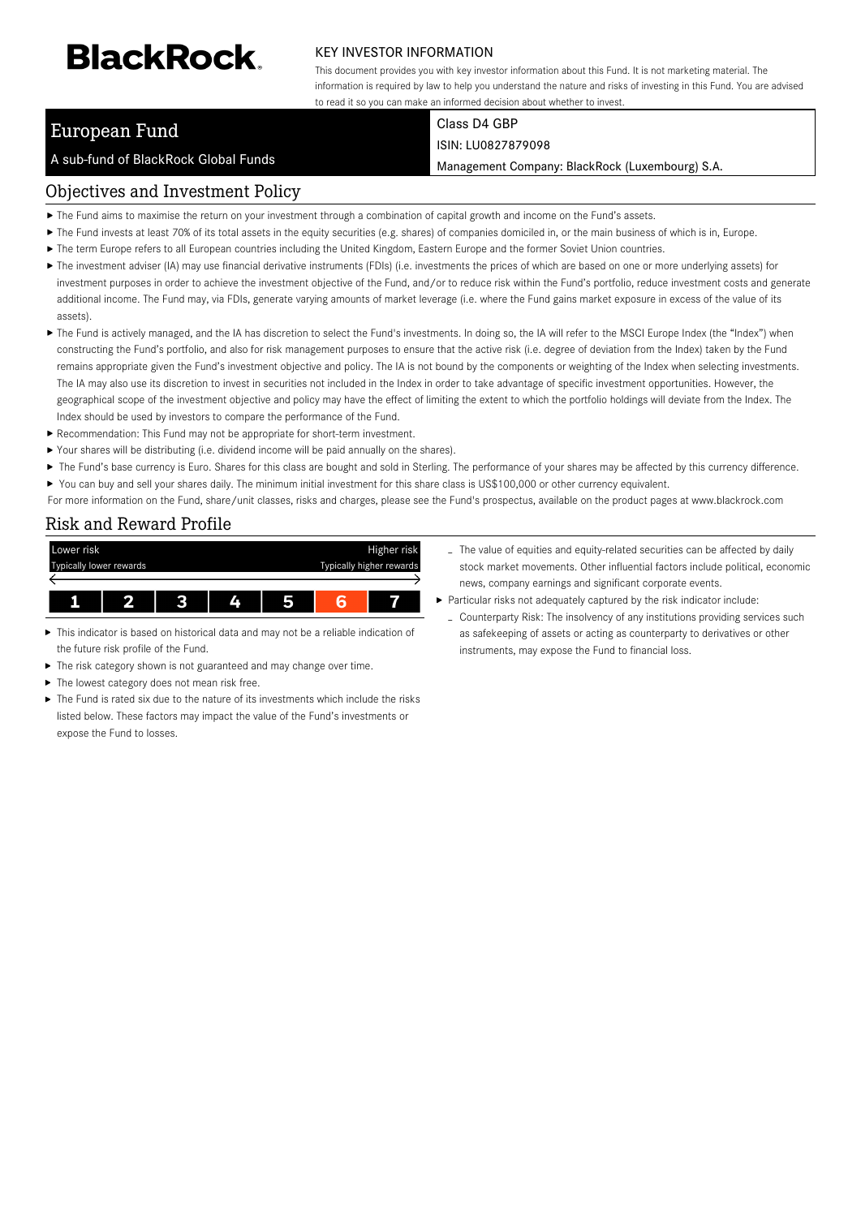# **BlackRock**

#### KEY INVESTOR INFORMATION

This document provides you with key investor information about this Fund. It is not marketing material. The information is required by law to help you understand the nature and risks of investing in this Fund. You are advised to read it so you can make an informed decision about whether to invest.

## European Fund

A sub-fund of BlackRock Global Funds

#### Class D4 GBP ISIN: LU0827879098

Management Company: BlackRock (Luxembourg) S.A.

## Objectives and Investment Policy

- The Fund aims to maximise the return on your investment through a combination of capital growth and income on the Fund's assets.
- ▶ The Fund invests at least 70% of its total assets in the equity securities (e.g. shares) of companies domiciled in, or the main business of which is in, Europe.
- The term Europe refers to all European countries including the United Kingdom, Eastern Europe and the former Soviet Union countries.
- ▶ The investment adviser (IA) may use financial derivative instruments (FDIs) (i.e. investments the prices of which are based on one or more underlying assets) for investment purposes in order to achieve the investment objective of the Fund, and/or to reduce risk within the Fund's portfolio, reduce investment costs and generate additional income. The Fund may, via FDIs, generate varying amounts of market leverage (i.e. where the Fund gains market exposure in excess of the value of its assets).
- ▶ The Fund is actively managed, and the IA has discretion to select the Fund's investments. In doing so, the IA will refer to the MSCI Europe Index (the "Index") when constructing the Fund's portfolio, and also for risk management purposes to ensure that the active risk (i.e. degree of deviation from the Index) taken by the Fund remains appropriate given the Fund's investment objective and policy. The IA is not bound by the components or weighting of the Index when selecting investments. The IA may also use its discretion to invest in securities not included in the Index in order to take advantage of specific investment opportunities. However, the geographical scope of the investment objective and policy may have the effect of limiting the extent to which the portfolio holdings will deviate from the Index. The Index should be used by investors to compare the performance of the Fund.
- Recommendation: This Fund may not be appropriate for short-term investment.
- Your shares will be distributing (i.e. dividend income will be paid annually on the shares).
- ▶ The Fund's base currency is Euro. Shares for this class are bought and sold in Sterling. The performance of your shares may be affected by this currency difference.
- ▶ You can buy and sell your shares daily. The minimum initial investment for this share class is US\$100,000 or other currency equivalent.

For more information on the Fund, share/unit classes, risks and charges, please see the Fund's prospectus, available on the product pages at www.blackrock.com

## Risk and Reward Profile



- This indicator is based on historical data and may not be a reliable indication of the future risk profile of the Fund.
- The risk category shown is not guaranteed and may change over time. ь
- Þ The lowest category does not mean risk free.
- The Fund is rated six due to the nature of its investments which include the risks listed below. These factors may impact the value of the Fund's investments or expose the Fund to losses.
- The value of equities and equity-related securities can be affected by daily stock market movements. Other influential factors include political, economic news, company earnings and significant corporate events.
- Particular risks not adequately captured by the risk indicator include:
	- Counterparty Risk: The insolvency of any institutions providing services such as safekeeping of assets or acting as counterparty to derivatives or other instruments, may expose the Fund to financial loss.